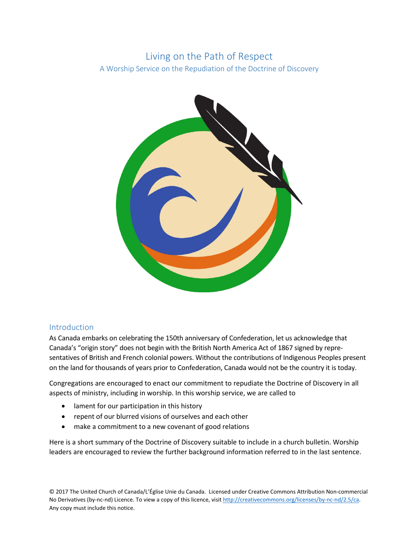# Living on the Path of Respect

A Worship Service on the Repudiation of the Doctrine of Discovery



# Introduction

As Canada embarks on celebrating the 150th anniversary of Confederation, let us acknowledge that Canada's "origin story" does not begin with the British North America Act of 1867 signed by representatives of British and French colonial powers. Without the contributions of Indigenous Peoples present on the land for thousands of years prior to Confederation, Canada would not be the country it is today.

Congregations are encouraged to enact our commitment to repudiate the Doctrine of Discovery in all aspects of ministry, including in worship. In this worship service, we are called to

- lament for our participation in this history
- repent of our blurred visions of ourselves and each other
- make a commitment to a new covenant of good relations

Here is a short summary of the Doctrine of Discovery suitable to include in a church bulletin. Worship leaders are encouraged to review the further background information referred to in the last sentence.

© 2017 The United Church of Canada/L'Église Unie du Canada. Licensed under Creative Commons Attribution Non-commercial No Derivatives (by-nc-nd) Licence. To view a copy of this licence, visit [http://creativecommons.org/licenses/by-nc-nd/2.5/ca.](http://creativecommons.org/licenses/by-nc-nd/2.5/ca) Any copy must include this notice.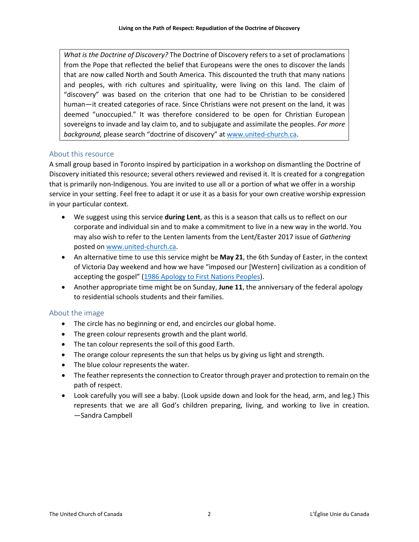*What is the Doctrine of Discovery?* The Doctrine of Discovery refers to a set of proclamations from the Pope that reflected the belief that Europeans were the ones to discover the lands that are now called North and South America. This discounted the truth that many nations and peoples, with rich cultures and spirituality, were living on this land. The claim of "discovery" was based on the criterion that one had to be Christian to be considered human—it created categories of race. Since Christians were not present on the land, it was deemed "unoccupied." It was therefore considered to be open for Christian European sovereigns to invade and lay claim to, and to subjugate and assimilate the peoples. *For more background,* please search "doctrine of discovery" a[t www.united-church.ca.](http://www.united-church.ca/)

# About this resource

A small group based in Toronto inspired by participation in a workshop on dismantling the Doctrine of Discovery initiated this resource; several others reviewed and revised it. It is created for a congregation that is primarily non-Indigenous. You are invited to use all or a portion of what we offer in a worship service in your setting. Feel free to adapt it or use it as a basis for your own creative worship expression in your particular context.

- We suggest using this service **during Lent**, as this is a season that calls us to reflect on our corporate and individual sin and to make a commitment to live in a new way in the world. You may also wish to refer to the Lenten laments from the Lent/Easter 2017 issue of *Gathering* posted o[n www.united-church.ca.](http://www.united-church.ca/worship)
- An alternative time to use this service might be **May 21**, the 6th Sunday of Easter, in the context of Victoria Day weekend and how we have "imposed our [Western] civilization as a condition of accepting the gospel" (1986 Apology [to First Nations Peoples\)](http://www.united-church.ca/social-action/justice-initiatives/apologies).
- Another appropriate time might be on Sunday, **June 11**, the anniversary of the federal apology to residential schools students and their families.

# About the image

- The circle has no beginning or end, and encircles our global home.
- The green colour represents growth and the plant world.
- The tan colour represents the soil of this good Earth.
- The orange colour represents the sun that helps us by giving us light and strength.
- The blue colour represents the water.
- The feather represents the connection to Creator through prayer and protection to remain on the path of respect.
- Look carefully you will see a baby. (Look upside down and look for the head, arm, and leg.) This represents that we are all God's children preparing, living, and working to live in creation. —Sandra Campbell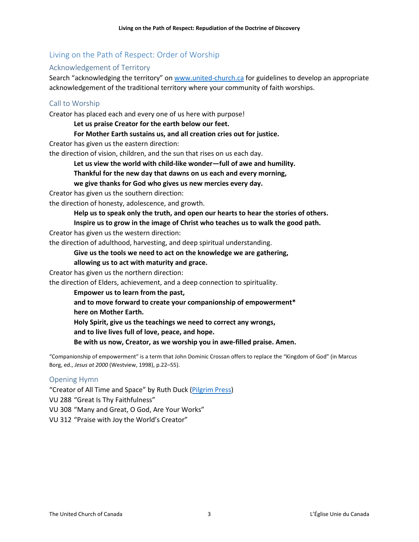# Living on the Path of Respect: Order of Worship

## Acknowledgement of Territory

Search "acknowledging the territory" o[n www.united-church.ca](http://www.united-church.ca/) for guidelines to develop an appropriate acknowledgement of the traditional territory where your community of faith worships.

## Call to Worship

Creator has placed each and every one of us here with purpose!

**Let us praise Creator for the earth below our feet.**

**For Mother Earth sustains us, and all creation cries out for justice.**

Creator has given us the eastern direction:

the direction of vision, children, and the sun that rises on us each day.

**Let us view the world with child-like wonder—full of awe and humility.**

**Thankful for the new day that dawns on us each and every morning,**

**we give thanks for God who gives us new mercies every day.**

Creator has given us the southern direction:

the direction of honesty, adolescence, and growth.

**Help us to speak only the truth, and open our hearts to hear the stories of others.**

**Inspire us to grow in the image of Christ who teaches us to walk the good path.**

Creator has given us the western direction:

the direction of adulthood, harvesting, and deep spiritual understanding.

#### **Give us the tools we need to act on the knowledge we are gathering,**

#### **allowing us to act with maturity and grace.**

Creator has given us the northern direction:

the direction of Elders, achievement, and a deep connection to spirituality.

**Empower us to learn from the past, and to move forward to create your companionship of empowerment\* here on Mother Earth. Holy Spirit, give us the teachings we need to correct any wrongs, and to live lives full of love, peace, and hope. Be with us now, Creator, as we worship you in awe-filled praise. Amen.**

"Companionship of empowerment" is a term that John Dominic Crossan offers to replace the "Kingdom of God" (in Marcus Borg, ed., *Jesus at 2000* (Westview, 1998), p.22–55).

#### Opening Hymn

"Creator of All Time and Space" by Ruth Duck [\(Pilgrim Press\)](https://ruthduckhymnist.net/copyright-information-2/) VU 288 "Great Is Thy Faithfulness" VU 308 "Many and Great, O God, Are Your Works" VU 312 "Praise with Joy the World's Creator"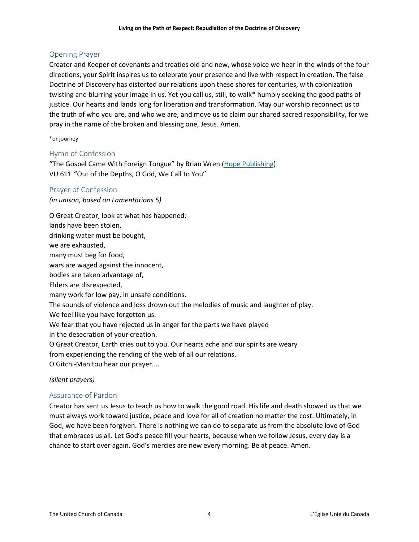# Opening Prayer

Creator and Keeper of covenants and treaties old and new, whose voice we hear in the winds of the four directions, your Spirit inspires us to celebrate your presence and live with respect in creation. The false Doctrine of Discovery has distorted our relations upon these shores for centuries, with colonization twisting and blurring your image in us. Yet you call us, still, to walk\* humbly seeking the good paths of justice. Our hearts and lands long for liberation and transformation. May our worship reconnect us to the truth of who you are, and who we are, and move us to claim our shared sacred responsibility, for we pray in the name of the broken and blessing one, Jesus. Amen.

\*or journey

# Hymn of Confession

"The Gospel Came With Foreign Tongue" by Brian Wren [\(Hope Publishing\)](http://www.hopepublishing.com/html/main.isx?sitesec=40.2.1.0&hymnID=2608) VU 611 "Out of the Depths, O God, We Call to You"

# Prayer of Confession

*(in unison, based on Lamentations 5)*

O Great Creator, look at what has happened: lands have been stolen, drinking water must be bought, we are exhausted, many must beg for food, wars are waged against the innocent, bodies are taken advantage of, Elders are disrespected, many work for low pay, in unsafe conditions. The sounds of violence and loss drown out the melodies of music and laughter of play. We feel like you have forgotten us. We fear that you have rejected us in anger for the parts we have played in the desecration of your creation. O Great Creator, Earth cries out to you. Our hearts ache and our spirits are weary from experiencing the rending of the web of all our relations. O Gitchi-Manitou hear our prayer....

# *(silent prayers)*

# Assurance of Pardon

Creator has sent us Jesus to teach us how to walk the good road. His life and death showed us that we must always work toward justice, peace and love for all of creation no matter the cost. Ultimately, in God, we have been forgiven. There is nothing we can do to separate us from the absolute love of God that embraces us all. Let God's peace fill your hearts, because when we follow Jesus, every day is a chance to start over again. God's mercies are new every morning. Be at peace. Amen.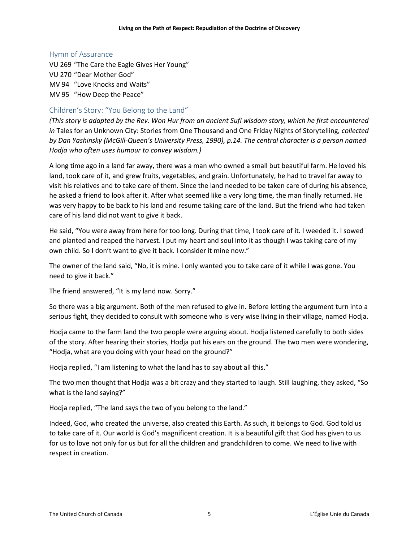#### Hymn of Assurance

VU 269 "The Care the Eagle Gives Her Young" VU 270 "Dear Mother God" MV 94 "Love Knocks and Waits" MV 95 "How Deep the Peace"

# Children's Story: "You Belong to the Land"

*(This story is adapted by the Rev. Won Hur from an ancient Sufi wisdom story, which he first encountered in* Tales for an Unknown City: Stories from One Thousand and One Friday Nights of Storytelling*, collected by Dan Yashinsky (McGill-Queen's University Press, 1990), p.14. The central character is a person named Hodja who often uses humour to convey wisdom.)*

A long time ago in a land far away, there was a man who owned a small but beautiful farm. He loved his land, took care of it, and grew fruits, vegetables, and grain. Unfortunately, he had to travel far away to visit his relatives and to take care of them. Since the land needed to be taken care of during his absence, he asked a friend to look after it. After what seemed like a very long time, the man finally returned. He was very happy to be back to his land and resume taking care of the land. But the friend who had taken care of his land did not want to give it back.

He said, "You were away from here for too long. During that time, I took care of it. I weeded it. I sowed and planted and reaped the harvest. I put my heart and soul into it as though I was taking care of my own child. So I don't want to give it back. I consider it mine now."

The owner of the land said, "No, it is mine. I only wanted you to take care of it while I was gone. You need to give it back."

The friend answered, "It is my land now. Sorry."

So there was a big argument. Both of the men refused to give in. Before letting the argument turn into a serious fight, they decided to consult with someone who is very wise living in their village, named Hodja.

Hodja came to the farm land the two people were arguing about. Hodja listened carefully to both sides of the story. After hearing their stories, Hodja put his ears on the ground. The two men were wondering, "Hodja, what are you doing with your head on the ground?"

Hodja replied, "I am listening to what the land has to say about all this."

The two men thought that Hodja was a bit crazy and they started to laugh. Still laughing, they asked, "So what is the land saying?"

Hodja replied, "The land says the two of you belong to the land."

Indeed, God, who created the universe, also created this Earth. As such, it belongs to God. God told us to take care of it. Our world is God's magnificent creation. It is a beautiful gift that God has given to us for us to love not only for us but for all the children and grandchildren to come. We need to live with respect in creation.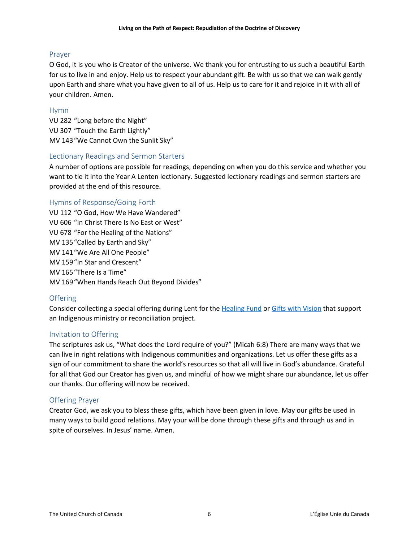## Prayer

O God, it is you who is Creator of the universe. We thank you for entrusting to us such a beautiful Earth for us to live in and enjoy. Help us to respect your abundant gift. Be with us so that we can walk gently upon Earth and share what you have given to all of us. Help us to care for it and rejoice in it with all of your children. Amen.

## Hymn

VU 282 "Long before the Night" VU 307 "Touch the Earth Lightly" MV 143"We Cannot Own the Sunlit Sky"

## Lectionary Readings and Sermon Starters

A number of options are possible for readings, depending on when you do this service and whether you want to tie it into the Year A Lenten lectionary. Suggested lectionary readings and sermon starters are provided at the end of this resource.

## Hymns of Response/Going Forth

VU 112 "O God, How We Have Wandered" VU 606 "In Christ There Is No East or West" VU 678 "For the Healing of the Nations" MV 135"Called by Earth and Sky" MV 141"We Are All One People" MV 159"In Star and Crescent" MV 165"There Is a Time" MV 169"When Hands Reach Out Beyond Divides"

# **Offering**

Consider collecting a special offering during Lent for the [Healing Fund](http://www.united-church.ca/community-faith/being-community/healing-education-and-development) or [Gifts with Vision](https://www.giftswithvision.ca/) that support an Indigenous ministry or reconciliation project.

#### Invitation to Offering

The scriptures ask us, "What does the Lord require of you?" (Micah 6:8) There are many ways that we can live in right relations with Indigenous communities and organizations. Let us offer these gifts as a sign of our commitment to share the world's resources so that all will live in God's abundance. Grateful for all that God our Creator has given us, and mindful of how we might share our abundance, let us offer our thanks. Our offering will now be received.

#### Offering Prayer

Creator God, we ask you to bless these gifts, which have been given in love. May our gifts be used in many ways to build good relations. May your will be done through these gifts and through us and in spite of ourselves. In Jesus' name. Amen.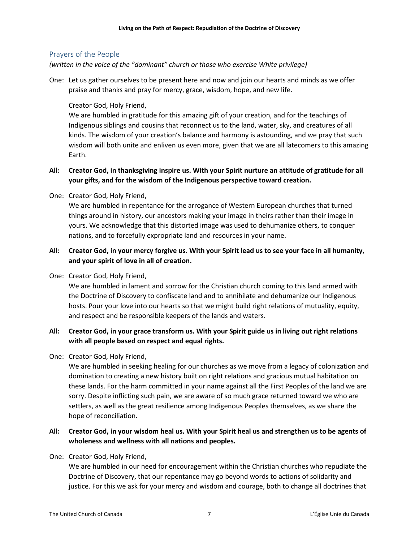## Prayers of the People

*(written in the voice of the "dominant" church or those who exercise White privilege)*

One: Let us gather ourselves to be present here and now and join our hearts and minds as we offer praise and thanks and pray for mercy, grace, wisdom, hope, and new life.

## Creator God, Holy Friend,

We are humbled in gratitude for this amazing gift of your creation, and for the teachings of Indigenous siblings and cousins that reconnect us to the land, water, sky, and creatures of all kinds. The wisdom of your creation's balance and harmony is astounding, and we pray that such wisdom will both unite and enliven us even more, given that we are all latecomers to this amazing Earth.

# **All: Creator God, in thanksgiving inspire us. With your Spirit nurture an attitude of gratitude for all your gifts, and for the wisdom of the Indigenous perspective toward creation.**

One: Creator God, Holy Friend,

We are humbled in repentance for the arrogance of Western European churches that turned things around in history, our ancestors making your image in theirs rather than their image in yours. We acknowledge that this distorted image was used to dehumanize others, to conquer nations, and to forcefully expropriate land and resources in your name.

# **All: Creator God, in your mercy forgive us. With your Spirit lead us to see your face in all humanity, and your spirit of love in all of creation.**

One: Creator God, Holy Friend,

We are humbled in lament and sorrow for the Christian church coming to this land armed with the Doctrine of Discovery to confiscate land and to annihilate and dehumanize our Indigenous hosts. Pour your love into our hearts so that we might build right relations of mutuality, equity, and respect and be responsible keepers of the lands and waters.

# **All: Creator God, in your grace transform us. With your Spirit guide us in living out right relations with all people based on respect and equal rights.**

One: Creator God, Holy Friend,

We are humbled in seeking healing for our churches as we move from a legacy of colonization and domination to creating a new history built on right relations and gracious mutual habitation on these lands. For the harm committed in your name against all the First Peoples of the land we are sorry. Despite inflicting such pain, we are aware of so much grace returned toward we who are settlers, as well as the great resilience among Indigenous Peoples themselves, as we share the hope of reconciliation.

# **All: Creator God, in your wisdom heal us. With your Spirit heal us and strengthen us to be agents of wholeness and wellness with all nations and peoples.**

#### One: Creator God, Holy Friend,

We are humbled in our need for encouragement within the Christian churches who repudiate the Doctrine of Discovery, that our repentance may go beyond words to actions of solidarity and justice. For this we ask for your mercy and wisdom and courage, both to change all doctrines that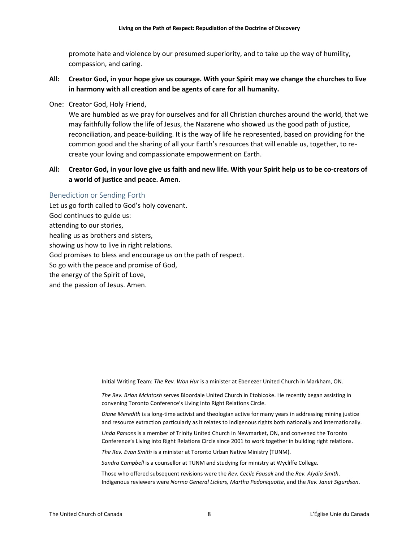promote hate and violence by our presumed superiority, and to take up the way of humility, compassion, and caring.

- **All: Creator God, in your hope give us courage. With your Spirit may we change the churches to live in harmony with all creation and be agents of care for all humanity.**
- One: Creator God, Holy Friend,

We are humbled as we pray for ourselves and for all Christian churches around the world, that we may faithfully follow the life of Jesus, the Nazarene who showed us the good path of justice, reconciliation, and peace-building. It is the way of life he represented, based on providing for the common good and the sharing of all your Earth's resources that will enable us, together, to recreate your loving and compassionate empowerment on Earth.

## **All: Creator God, in your love give us faith and new life. With your Spirit help us to be co-creators of a world of justice and peace. Amen.**

#### Benediction or Sending Forth

Let us go forth called to God's holy covenant. God continues to guide us: attending to our stories, healing us as brothers and sisters, showing us how to live in right relations. God promises to bless and encourage us on the path of respect. So go with the peace and promise of God, the energy of the Spirit of Love, and the passion of Jesus. Amen.

Initial Writing Team: *The Rev. Won Hur* is a minister at Ebenezer United Church in Markham, ON.

*The Rev. Brian McIntosh* serves Bloordale United Church in Etobicoke. He recently began assisting in convening Toronto Conference's Living into Right Relations Circle.

*Diane Meredith* is a long-time activist and theologian active for many years in addressing mining justice and resource extraction particularly as it relates to Indigenous rights both nationally and internationally.

*Linda Parsons* is a member of Trinity United Church in Newmarket, ON, and convened the Toronto Conference's Living into Right Relations Circle since 2001 to work together in building right relations.

*The Rev. Evan Smith* is a minister at Toronto Urban Native Ministry (TUNM).

*Sandra Campbell* is a counsellor at TUNM and studying for ministry at Wycliffe College.

Those who offered subsequent revisions were the *Rev. Cecile Fausak* and the *Rev. Alydia Smith*. Indigenous reviewers were *Norma General Lickers, Martha Pedoniquotte*, and the *Rev. Janet Sigurdson*.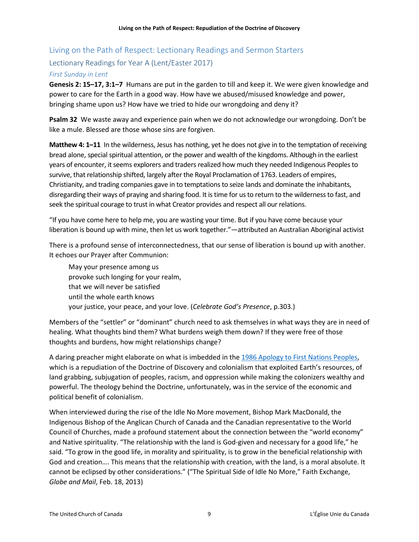# Living on the Path of Respect: Lectionary Readings and Sermon Starters

# Lectionary Readings for Year A (Lent/Easter 2017)

## *First Sunday in Lent*

**Genesis 2: 15–17, 3:1–7** Humans are put in the garden to till and keep it. We were given knowledge and power to care for the Earth in a good way. How have we abused/misused knowledge and power, bringing shame upon us? How have we tried to hide our wrongdoing and deny it?

**Psalm 32** We waste away and experience pain when we do not acknowledge our wrongdoing. Don't be like a mule. Blessed are those whose sins are forgiven.

**Matthew 4: 1–11** In the wilderness, Jesus has nothing, yet he does not give in to the temptation of receiving bread alone, special spiritual attention, or the power and wealth of the kingdoms. Although in the earliest years of encounter, it seems explorers and traders realized how much they needed Indigenous Peoples to survive, that relationship shifted, largely after the Royal Proclamation of 1763. Leaders of empires, Christianity, and trading companies gave in to temptations to seize lands and dominate the inhabitants, disregarding their ways of praying and sharing food. It is time for us to return to the wilderness to fast, and seek the spiritual courage to trust in what Creator provides and respect all our relations.

"If you have come here to help me, you are wasting your time. But if you have come because your liberation is bound up with mine, then let us work together."—attributed an Australian Aboriginal activist

There is a profound sense of interconnectedness, that our sense of liberation is bound up with another. It echoes our Prayer after Communion:

May your presence among us provoke such longing for your realm, that we will never be satisfied until the whole earth knows your justice, your peace, and your love. (*Celebrate God's Presence*, p.303.)

Members of the "settler" or "dominant" church need to ask themselves in what ways they are in need of healing. What thoughts bind them? What burdens weigh them down? If they were free of those thoughts and burdens, how might relationships change?

A daring preacher might elaborate on what is imbedded in the [1986 Apology to First Nations Peoples,](http://www.united-church.ca/social-action/justice-initiatives/apologies) which is a repudiation of the Doctrine of Discovery and colonialism that exploited Earth's resources, of land grabbing, subjugation of peoples, racism, and oppression while making the colonizers wealthy and powerful. The theology behind the Doctrine, unfortunately, was in the service of the economic and political benefit of colonialism.

When interviewed during the rise of the Idle No More movement, Bishop Mark MacDonald, the Indigenous Bishop of the Anglican Church of Canada and the Canadian representative to the World Council of Churches, made a profound statement about the connection between the "world economy" and Native spirituality. "The relationship with the land is God-given and necessary for a good life," he said. "To grow in the good life, in morality and spirituality, is to grow in the beneficial relationship with God and creation…. This means that the relationship with creation, with the land, is a moral absolute. It cannot be eclipsed by other considerations." ("The Spiritual Side of Idle No More," Faith Exchange, *Globe and Mail*, Feb. 18, 2013)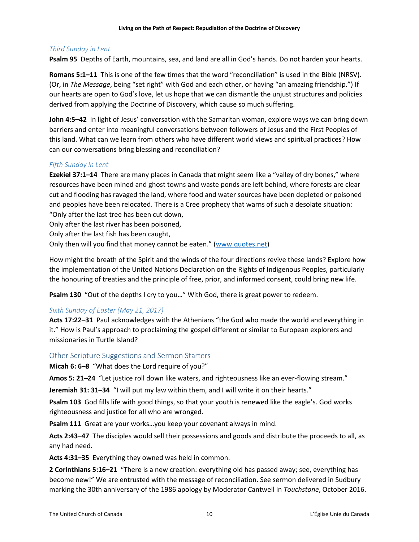### *Third Sunday in Lent*

**Psalm 95** Depths of Earth, mountains, sea, and land are all in God's hands. Do not harden your hearts.

**Romans 5:1–11** This is one of the few times that the word "reconciliation" is used in the Bible (NRSV). (Or, in *The Message*, being "set right" with God and each other, or having "an amazing friendship.") If our hearts are open to God's love, let us hope that we can dismantle the unjust structures and policies derived from applying the Doctrine of Discovery, which cause so much suffering.

**John 4:5–42** In light of Jesus' conversation with the Samaritan woman, explore ways we can bring down barriers and enter into meaningful conversations between followers of Jesus and the First Peoples of this land. What can we learn from others who have different world views and spiritual practices? How can our conversations bring blessing and reconciliation?

## *Fifth Sunday in Lent*

**Ezekiel 37:1–14** There are many places in Canada that might seem like a "valley of dry bones," where resources have been mined and ghost towns and waste ponds are left behind, where forests are clear cut and flooding has ravaged the land, where food and water sources have been depleted or poisoned and peoples have been relocated. There is a Cree prophecy that warns of such a desolate situation: "Only after the last tree has been cut down,

Only after the last river has been poisoned,

Only after the last fish has been caught,

Only then will you find that money cannot be eaten." [\(www.quotes.net\)](http://www.quotes.net/quote/16519)

How might the breath of the Spirit and the winds of the four directions revive these lands? Explore how the implementation of the United Nations Declaration on the Rights of Indigenous Peoples, particularly the honouring of treaties and the principle of free, prior, and informed consent, could bring new life.

**Psalm 130** "Out of the depths I cry to you…" With God, there is great power to redeem.

# *Sixth Sunday of Easter (May 21, 2017)*

**Acts 17:22–31** Paul acknowledges with the Athenians "the God who made the world and everything in it." How is Paul's approach to proclaiming the gospel different or similar to European explorers and missionaries in Turtle Island?

#### Other Scripture Suggestions and Sermon Starters

**Micah 6: 6–8** "What does the Lord require of you?"

**Amos 5: 21–24** "Let justice roll down like waters, and righteousness like an ever-flowing stream."

**Jeremiah 31: 31–34** "I will put my law within them, and I will write it on their hearts."

**Psalm 103** God fills life with good things, so that your youth is renewed like the eagle's. God works righteousness and justice for all who are wronged.

**Psalm 111** Great are your works…you keep your covenant always in mind.

**Acts 2:43–47** The disciples would sell their possessions and goods and distribute the proceeds to all, as any had need.

**Acts 4:31–35** Everything they owned was held in common.

**2 Corinthians 5:16–21** "There is a new creation: everything old has passed away; see, everything has become new!" We are entrusted with the message of reconciliation. See sermon delivered in Sudbury marking the 30th anniversary of the 1986 apology by Moderator Cantwell in *Touchstone*, October 2016.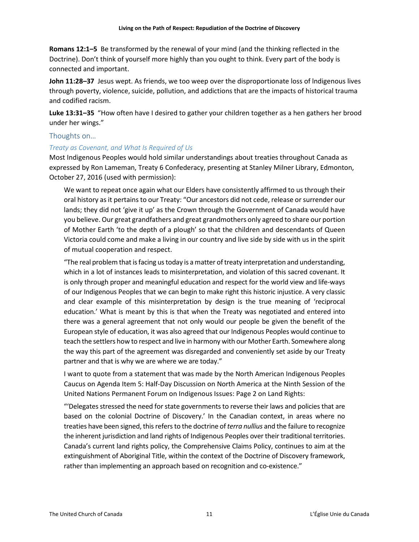**Romans 12:1–5** Be transformed by the renewal of your mind (and the thinking reflected in the Doctrine). Don't think of yourself more highly than you ought to think. Every part of the body is connected and important.

**John 11:28–37** Jesus wept. As friends, we too weep over the disproportionate loss of lndigenous lives through poverty, violence, suicide, pollution, and addictions that are the impacts of historical trauma and codified racism.

**Luke 13:31–35** "How often have I desired to gather your children together as a hen gathers her brood under her wings."

## Thoughts on…

## *Treaty as Covenant, and What Is Required of Us*

Most Indigenous Peoples would hold similar understandings about treaties throughout Canada as expressed by Ron Lameman, Treaty 6 Confederacy, presenting at Stanley Milner Library, Edmonton, October 27, 2016 (used with permission):

We want to repeat once again what our Elders have consistently affirmed to us through their oral history as it pertains to our Treaty: "Our ancestors did not cede, release or surrender our lands; they did not 'give it up' as the Crown through the Government of Canada would have you believe. Our great grandfathers and great grandmothers only agreed to share our portion of Mother Earth 'to the depth of a plough' so that the children and descendants of Queen Victoria could come and make a living in our country and live side by side with us in the spirit of mutual cooperation and respect.

"The real problem that is facing us today is a matter of treaty interpretation and understanding, which in a lot of instances leads to misinterpretation, and violation of this sacred covenant. It is only through proper and meaningful education and respect for the world view and life-ways of our Indigenous Peoples that we can begin to make right this historic injustice. A very classic and clear example of this misinterpretation by design is the true meaning of 'reciprocal education.' What is meant by this is that when the Treaty was negotiated and entered into there was a general agreement that not only would our people be given the benefit of the European style of education, it was also agreed that our Indigenous Peoples would continue to teach the settlers how to respect and live in harmony with our Mother Earth. Somewhere along the way this part of the agreement was disregarded and conveniently set aside by our Treaty partner and that is why we are where we are today."

I want to quote from a statement that was made by the North American Indigenous Peoples Caucus on Agenda Item 5: Half-Day Discussion on North America at the Ninth Session of the United Nations Permanent Forum on Indigenous Issues: Page 2 on Land Rights:

"'Delegates stressed the need for state governments to reverse their laws and policies that are based on the colonial Doctrine of Discovery.' In the Canadian context, in areas where no treaties have been signed, this refers to the doctrine of*terra nullius* and the failure to recognize the inherent jurisdiction and land rights of Indigenous Peoples over their traditional territories. Canada's current land rights policy, the Comprehensive Claims Policy, continues to aim at the extinguishment of Aboriginal Title, within the context of the Doctrine of Discovery framework, rather than implementing an approach based on recognition and co-existence."